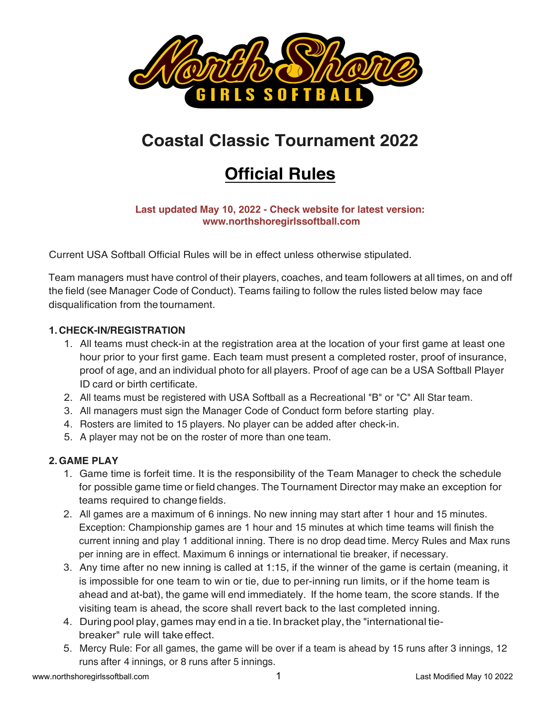

## **Coastal Classic Tournament 2022**

# **Official Rules**

#### **Last updated May 10, 2022 - Check website for latest version: www.northshoregirlssoftball.com**

Current USA Softball Official Rules will be in effect unless otherwise stipulated.

Team managers must have control of their players, coaches, and team followers at all times, on and off the field (see Manager Code of Conduct). Teams failing to follow the rules listed below may face disqualification from the tournament.

## **1. CHECK-IN/REGISTRATION**

- 1. All teams must check-in at the registration area at the location of your first game at least one hour prior to your first game. Each team must present a completed roster, proof of insurance, proof of age, and an individual photo for all players. Proof of age can be a USA Softball Player ID card or birth certificate.
- 2. All teams must be registered with USA Softball as a Recreational "B" or "C" All Star team.
- 3. All managers must sign the Manager Code of Conduct form before starting play.
- 4. Rosters are limited to 15 players. No player can be added after check-in.
- 5. A player may not be on the roster of more than one team.

## **2.GAME PLAY**

- 1. Game time is forfeit time. It is the responsibility of the Team Manager to check the schedule for possible game time or field changes. The Tournament Director may make an exception for teams required to change fields.
- 2. All games are a maximum of 6 innings. No new inning may start after 1 hour and 15 minutes. Exception: Championship games are 1 hour and 15 minutes at which time teams will finish the current inning and play 1 additional inning. There is no drop dead time. Mercy Rules and Max runs per inning are in effect. Maximum 6 innings or international tie breaker, if necessary.
- 3. Any time after no new inning is called at 1:15, if the winner of the game is certain (meaning, it is impossible for one team to win or tie, due to per-inning run limits, or if the home team is ahead and at-bat), the game will end immediately. If the home team, the score stands. If the visiting team is ahead, the score shall revert back to the last completed inning.
- 4. During pool play, games may end in a tie. In bracket play, the "international tiebreaker" rule will take effect.
- 5. Mercy Rule: For all games, the game will be over if a team is ahead by 15 runs after 3 innings, 12 runs after 4 innings, or 8 runs after 5 innings.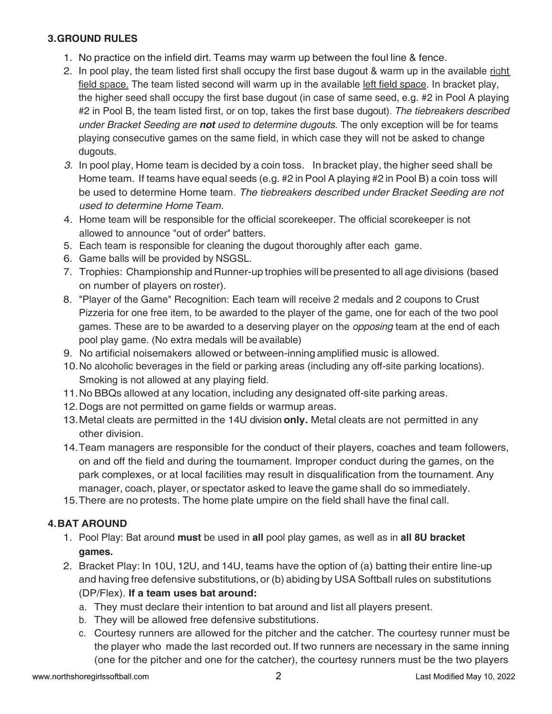## **3.GROUND RULES**

- 1. No practice on the infield dirt. Teams may warm up between the foul line & fence.
- 2. In pool play, the team listed first shall occupy the first base dugout & warm up in the available right field space. The team listed second will warm up in the available left field space. In bracket play, the higher seed shall occupy the first base dugout (in case of same seed, e.g. #2 in Pool A playing #2 in Pool B, the team listed first, or on top, takes the first base dugout). *The tiebreakers described under Bracket Seeding are not used to determine dugouts.* The only exception will be for teams playing consecutive games on the same field, in which case they will not be asked to change dugouts.
- *3.* In pool play, Home team is decided by a coin toss. In bracket play, the higher seed shall be Home team. If teams have equal seeds (e.g. #2 in Pool A playing #2 in Pool B) a coin toss will be used to determine Home team. *The tiebreakers described under Bracket Seeding are not used to determine Home Team.*
- 4. Home team will be responsible for the official scorekeeper. The official scorekeeper is not allowed to announce "out of order" batters.
- 5. Each team is responsible for cleaning the dugout thoroughly after each game.
- 6. Game balls will be provided by NSGSL.
- 7. Trophies: Championship and Runner-up trophies will be presented to all age divisions (based on number of players on roster).
- 8. "Player of the Game" Recognition: Each team will receive 2 medals and 2 coupons to Crust Pizzeria for one free item, to be awarded to the player of the game, one for each of the two pool games. These are to be awarded to a deserving player on the *opposing* team at the end of each pool play game. (No extra medals will be available)
- 9. No artificial noisemakers allowed or between-inning amplified music is allowed.
- 10.No alcoholic beverages in the field or parking areas (including any off-site parking locations). Smoking is not allowed at any playing field.
- 11.No BBQs allowed at any location, including any designated off-site parking areas.
- 12.Dogs are not permitted on game fields or warmup areas.
- 13.Metal cleats are permitted in the 14U division **only.** Metal cleats are not permitted in any other division.
- 14.Team managers are responsible for the conduct of their players, coaches and team followers, on and off the field and during the tournament. Improper conduct during the games, on the park complexes, or at local facilities may result in disqualification from the tournament. Any manager, coach, player, or spectator asked to leave the game shall do so immediately.
- 15.There are no protests. The home plate umpire on the field shall have the final call.

## **4.BAT AROUND**

- 1. Pool Play: Bat around **must** be used in **all** pool play games, as well as in **all 8U bracket games.**
- 2. Bracket Play: In 10U, 12U, and 14U, teams have the option of (a) batting their entire line-up and having free defensive substitutions, or (b) abiding by USA Softball rules on substitutions (DP/Flex). **If a team uses bat around:**
	- a. They must declare their intention to bat around and list all players present.
	- b. They will be allowed free defensive substitutions.
	- c. Courtesy runners are allowed for the pitcher and the catcher. The courtesy runner must be the player who made the last recorded out. If two runners are necessary in the same inning (one for the pitcher and one for the catcher), the courtesy runners must be the two players